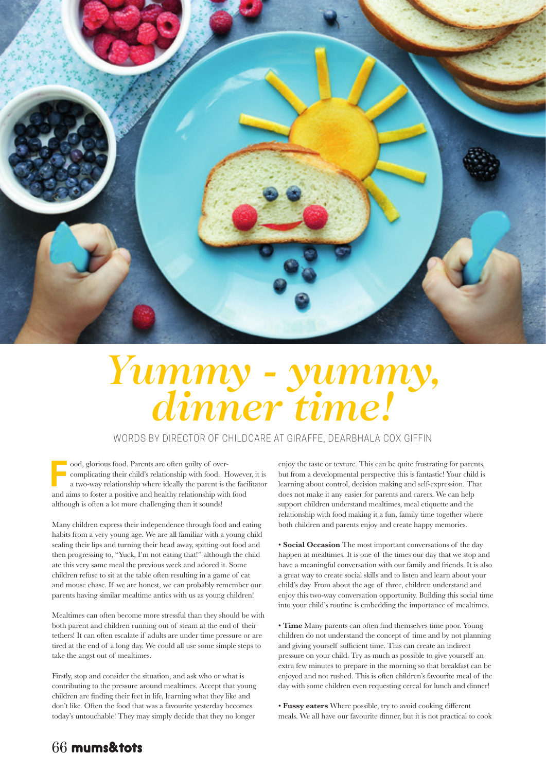

## *Yummy - yummy, dinner time!*

WORDS BY DIRECTOR OF CHILDCARE AT GIRAFFE, DEARBHALA COX GIFFIN

**F** ood, glorious food. Parents are often guilty of overcomplicating their child's relationship with food. However, it is a two-way relationship where ideally the parent is the facilitator and aims to foster a positive and healthy relationship with food although is often a lot more challenging than it sounds!

Many children express their independence through food and eating habits from a very young age. We are all familiar with a young child sealing their lips and turning their head away, spitting out food and then progressing to, "Yuck, I'm not eating that!" although the child ate this very same meal the previous week and adored it. Some children refuse to sit at the table often resulting in a game of cat and mouse chase. If we are honest, we can probably remember our parents having similar mealtime antics with us as young children!

Mealtimes can often become more stressful than they should be with both parent and children running out of steam at the end of their tethers! It can often escalate if adults are under time pressure or are tired at the end of a long day. We could all use some simple steps to take the angst out of mealtimes.

Firstly, stop and consider the situation, and ask who or what is contributing to the pressure around mealtimes. Accept that young children are finding their feet in life, learning what they like and don't like. Often the food that was a favourite yesterday becomes today's untouchable! They may simply decide that they no longer

enjoy the taste or texture. This can be quite frustrating for parents, but from a developmental perspective this is fantastic! Your child is learning about control, decision making and self-expression. That does not make it any easier for parents and carers. We can help support children understand mealtimes, meal etiquette and the relationship with food making it a fun, family time together where both children and parents enjoy and create happy memories.

• **Social Occasion** The most important conversations of the day happen at mealtimes. It is one of the times our day that we stop and have a meaningful conversation with our family and friends. It is also a great way to create social skills and to listen and learn about your child's day. From about the age of three, children understand and enjoy this two-way conversation opportunity. Building this social time into your child's routine is embedding the importance of mealtimes.

• **Time** Many parents can often find themselves time poor. Young children do not understand the concept of time and by not planning and giving yourself sufficient time. This can create an indirect pressure on your child. Try as much as possible to give yourself an extra few minutes to prepare in the morning so that breakfast can be enjoyed and not rushed. This is often children's favourite meal of the day with some children even requesting cereal for lunch and dinner!

• **Fussy eaters** Where possible, try to avoid cooking different meals. We all have our favourite dinner, but it is not practical to cook

## 66 mums&tots